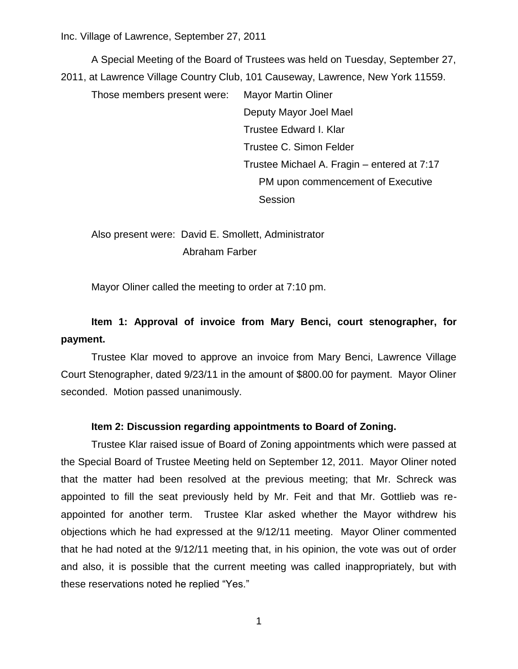Inc. Village of Lawrence, September 27, 2011

A Special Meeting of the Board of Trustees was held on Tuesday, September 27, 2011, at Lawrence Village Country Club, 101 Causeway, Lawrence, New York 11559.

Those members present were: Mayor Martin Oliner Deputy Mayor Joel Mael Trustee Edward I. Klar Trustee C. Simon Felder Trustee Michael A. Fragin – entered at 7:17 PM upon commencement of Executive **Session** 

Also present were: David E. Smollett, Administrator Abraham Farber

Mayor Oliner called the meeting to order at 7:10 pm.

# **Item 1: Approval of invoice from Mary Benci, court stenographer, for payment.**

Trustee Klar moved to approve an invoice from Mary Benci, Lawrence Village Court Stenographer, dated 9/23/11 in the amount of \$800.00 for payment. Mayor Oliner seconded. Motion passed unanimously.

## **Item 2: Discussion regarding appointments to Board of Zoning.**

Trustee Klar raised issue of Board of Zoning appointments which were passed at the Special Board of Trustee Meeting held on September 12, 2011. Mayor Oliner noted that the matter had been resolved at the previous meeting; that Mr. Schreck was appointed to fill the seat previously held by Mr. Feit and that Mr. Gottlieb was reappointed for another term. Trustee Klar asked whether the Mayor withdrew his objections which he had expressed at the 9/12/11 meeting. Mayor Oliner commented that he had noted at the 9/12/11 meeting that, in his opinion, the vote was out of order and also, it is possible that the current meeting was called inappropriately, but with these reservations noted he replied "Yes."

1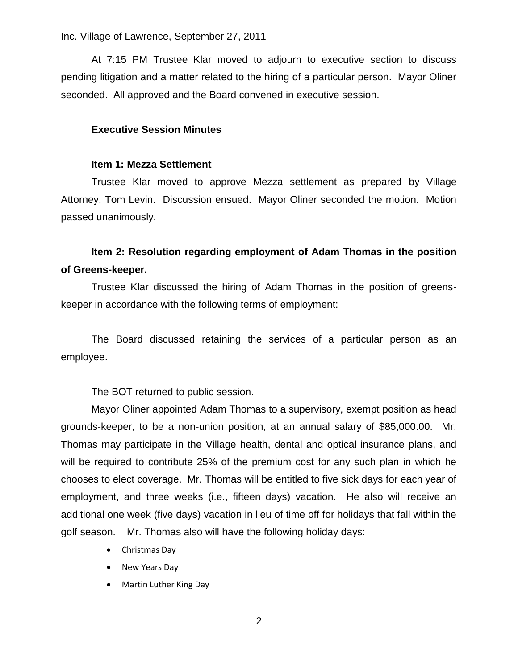Inc. Village of Lawrence, September 27, 2011

At 7:15 PM Trustee Klar moved to adjourn to executive section to discuss pending litigation and a matter related to the hiring of a particular person. Mayor Oliner seconded. All approved and the Board convened in executive session.

### **Executive Session Minutes**

### **Item 1: Mezza Settlement**

Trustee Klar moved to approve Mezza settlement as prepared by Village Attorney, Tom Levin. Discussion ensued. Mayor Oliner seconded the motion. Motion passed unanimously.

# **Item 2: Resolution regarding employment of Adam Thomas in the position of Greens-keeper.**

Trustee Klar discussed the hiring of Adam Thomas in the position of greenskeeper in accordance with the following terms of employment:

The Board discussed retaining the services of a particular person as an employee.

The BOT returned to public session.

Mayor Oliner appointed Adam Thomas to a supervisory, exempt position as head grounds-keeper, to be a non-union position, at an annual salary of \$85,000.00. Mr. Thomas may participate in the Village health, dental and optical insurance plans, and will be required to contribute 25% of the premium cost for any such plan in which he chooses to elect coverage. Mr. Thomas will be entitled to five sick days for each year of employment, and three weeks (i.e., fifteen days) vacation. He also will receive an additional one week (five days) vacation in lieu of time off for holidays that fall within the golf season. Mr. Thomas also will have the following holiday days:

- Christmas Day
- New Years Day
- Martin Luther King Day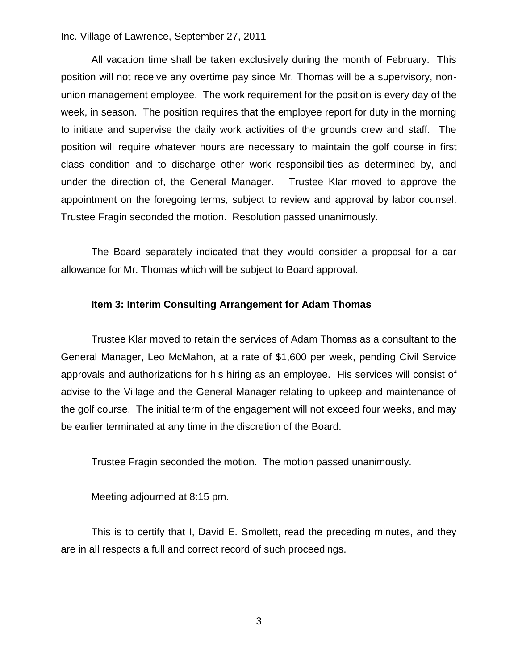Inc. Village of Lawrence, September 27, 2011

All vacation time shall be taken exclusively during the month of February. This position will not receive any overtime pay since Mr. Thomas will be a supervisory, nonunion management employee. The work requirement for the position is every day of the week, in season. The position requires that the employee report for duty in the morning to initiate and supervise the daily work activities of the grounds crew and staff. The position will require whatever hours are necessary to maintain the golf course in first class condition and to discharge other work responsibilities as determined by, and under the direction of, the General Manager. Trustee Klar moved to approve the appointment on the foregoing terms, subject to review and approval by labor counsel. Trustee Fragin seconded the motion. Resolution passed unanimously.

The Board separately indicated that they would consider a proposal for a car allowance for Mr. Thomas which will be subject to Board approval.

## **Item 3: Interim Consulting Arrangement for Adam Thomas**

Trustee Klar moved to retain the services of Adam Thomas as a consultant to the General Manager, Leo McMahon, at a rate of \$1,600 per week, pending Civil Service approvals and authorizations for his hiring as an employee. His services will consist of advise to the Village and the General Manager relating to upkeep and maintenance of the golf course. The initial term of the engagement will not exceed four weeks, and may be earlier terminated at any time in the discretion of the Board.

Trustee Fragin seconded the motion. The motion passed unanimously.

Meeting adjourned at 8:15 pm.

This is to certify that I, David E. Smollett, read the preceding minutes, and they are in all respects a full and correct record of such proceedings.

3